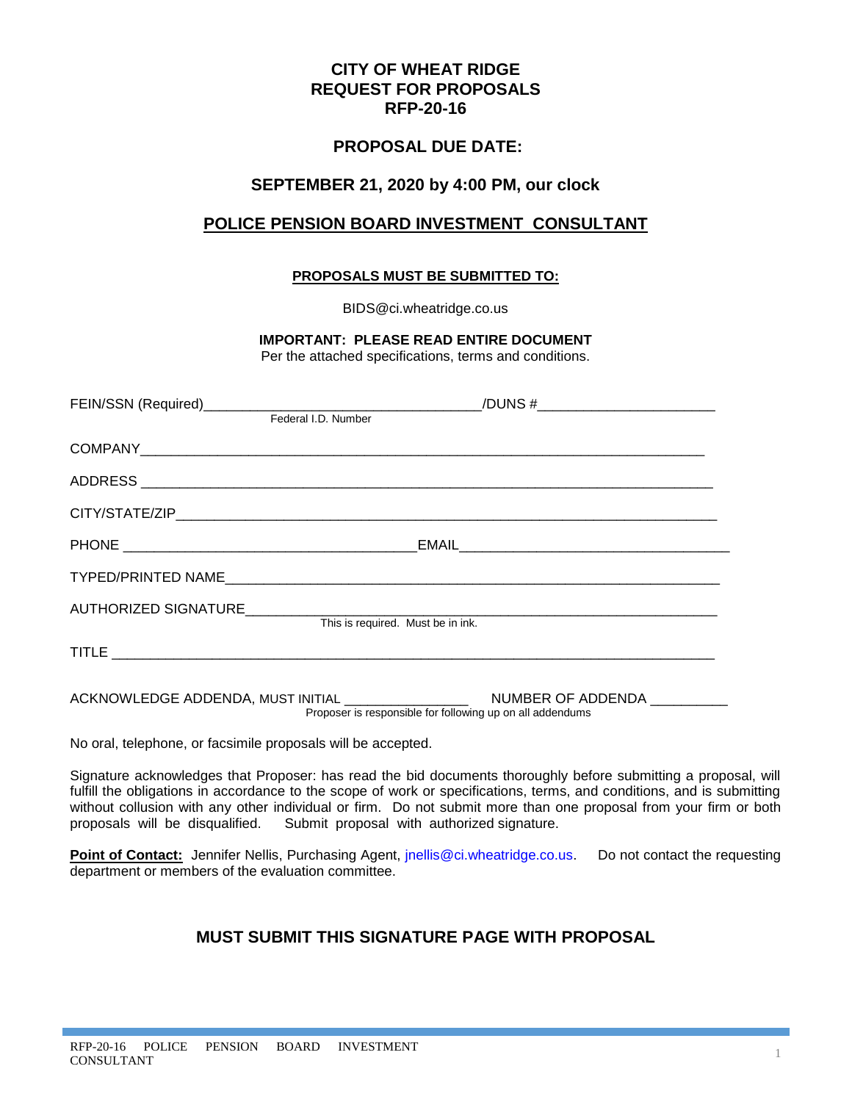# **CITY OF WHEAT RIDGE REQUEST FOR PROPOSALS RFP-20-16**

# **PROPOSAL DUE DATE:**

# **SEPTEMBER 21, 2020 by 4:00 PM, our clock**

# **POLICE PENSION BOARD INVESTMENT CONSULTANT**

# **PROPOSALS MUST BE SUBMITTED TO:**

BIDS@ci.wheatridge.co.us

**IMPORTANT: PLEASE READ ENTIRE DOCUMENT**

Per the attached specifications, terms and conditions.

| This is required. Must be in ink.                         |  |
|-----------------------------------------------------------|--|
|                                                           |  |
| Proposer is responsible for following up on all addendums |  |

No oral, telephone, or facsimile proposals will be accepted.

Signature acknowledges that Proposer: has read the bid documents thoroughly before submitting a proposal, will fulfill the obligations in accordance to the scope of work or specifications, terms, and conditions, and is submitting without collusion with any other individual or firm. Do not submit more than one proposal from your firm or both proposals will be disqualified. Submit proposal with authorized signature.

**Point of Contact:** Jennifer Nellis, Purchasing Agent, *jnellis@ci.wheatridge.co.us.* Do not contact the requesting department or members of the evaluation committee.

# **MUST SUBMIT THIS SIGNATURE PAGE WITH PROPOSAL**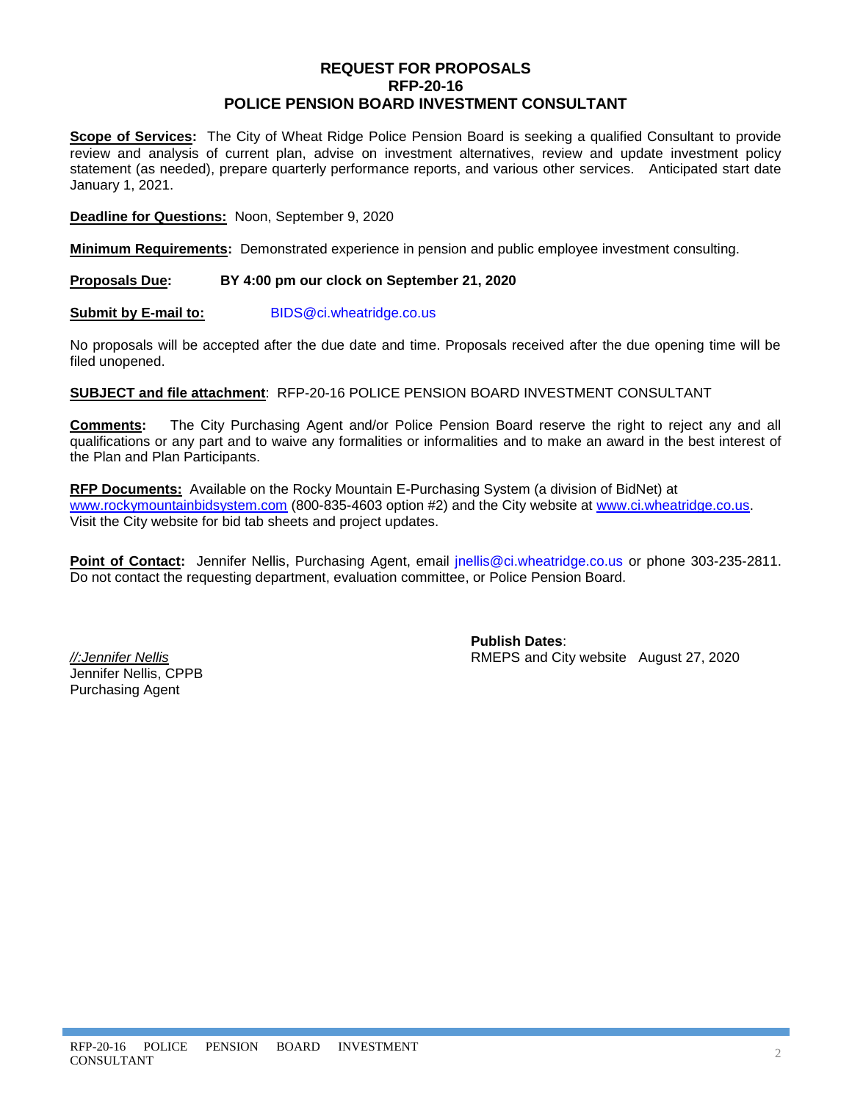# **REQUEST FOR PROPOSALS RFP-20-16 POLICE PENSION BOARD INVESTMENT CONSULTANT**

**Scope of Services:** The City of Wheat Ridge Police Pension Board is seeking a qualified Consultant to provide review and analysis of current plan, advise on investment alternatives, review and update investment policy statement (as needed), prepare quarterly performance reports, and various other services. Anticipated start date January 1, 2021.

**Deadline for Questions:** Noon, September 9, 2020

**Minimum Requirements:** Demonstrated experience in pension and public employee investment consulting.

### **Proposals Due: BY 4:00 pm our clock on September 21, 2020**

**Submit by E-mail to:** [BIDS@ci.wheatridge.co.us](mailto:BIDS@ci.wheatridge.co.us)

No proposals will be accepted after the due date and time. Proposals received after the due opening time will be filed unopened.

**SUBJECT and file attachment**: RFP-20-16 POLICE PENSION BOARD INVESTMENT CONSULTANT

**Comments:** The City Purchasing Agent and/or Police Pension Board reserve the right to reject any and all qualifications or any part and to waive any formalities or informalities and to make an award in the best interest of the Plan and Plan Participants.

**RFP Documents:** Available on the Rocky Mountain E-Purchasing System (a division of BidNet) at [www.rockymountainbidsystem.com](http://www.rockymountainbidsystem.com/) (800-835-4603 option #2) and the City website at [www.ci.wheatridge.co.us.](http://www.ci.wheatridge.co.us/) Visit the City website for bid tab sheets and project updates.

**Point of Contact:** Jennifer Nellis, Purchasing Agent, email [jnellis@ci.wheatridge.co.us](mailto:jnellis@ci.wheatridge.co.us) or phone 303-235-2811. Do not contact the requesting department, evaluation committee, or Police Pension Board.

Jennifer Nellis, CPPB Purchasing Agent

**Publish Dates**: *//:Jennifer Nellis* RMEPS and City website August 27, 2020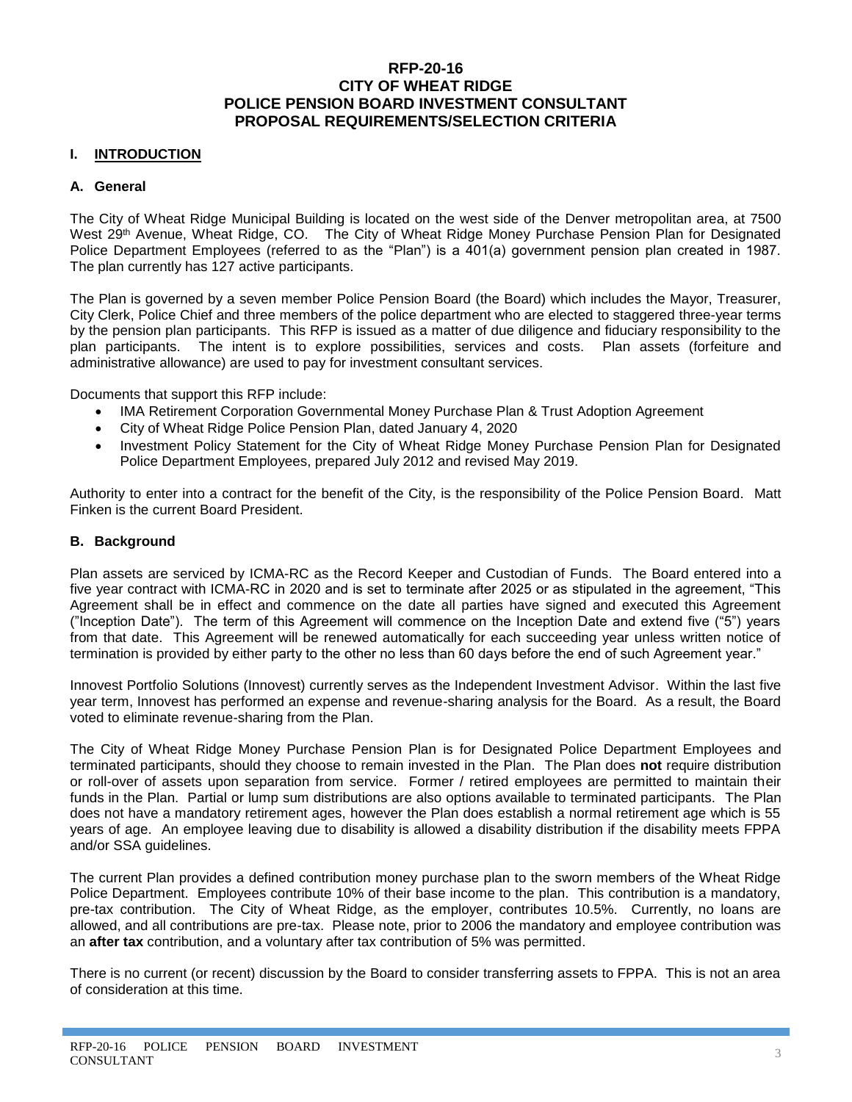# **RFP-20-16 CITY OF WHEAT RIDGE POLICE PENSION BOARD INVESTMENT CONSULTANT PROPOSAL REQUIREMENTS/SELECTION CRITERIA**

# **I. INTRODUCTION**

### **A. General**

The City of Wheat Ridge Municipal Building is located on the west side of the Denver metropolitan area, at 7500 West 29<sup>th</sup> Avenue, Wheat Ridge, CO. The City of Wheat Ridge Money Purchase Pension Plan for Designated Police Department Employees (referred to as the "Plan") is a 401(a) government pension plan created in 1987. The plan currently has 127 active participants.

The Plan is governed by a seven member Police Pension Board (the Board) which includes the Mayor, Treasurer, City Clerk, Police Chief and three members of the police department who are elected to staggered three-year terms by the pension plan participants. This RFP is issued as a matter of due diligence and fiduciary responsibility to the plan participants. The intent is to explore possibilities, services and costs. Plan assets (forfeiture and administrative allowance) are used to pay for investment consultant services.

Documents that support this RFP include:

- IMA Retirement Corporation Governmental Money Purchase Plan & Trust Adoption Agreement
- City of Wheat Ridge Police Pension Plan, dated January 4, 2020
- Investment Policy Statement for the City of Wheat Ridge Money Purchase Pension Plan for Designated Police Department Employees, prepared July 2012 and revised May 2019.

Authority to enter into a contract for the benefit of the City, is the responsibility of the Police Pension Board. Matt Finken is the current Board President.

### **B. Background**

Plan assets are serviced by ICMA-RC as the Record Keeper and Custodian of Funds. The Board entered into a five year contract with ICMA-RC in 2020 and is set to terminate after 2025 or as stipulated in the agreement, "This Agreement shall be in effect and commence on the date all parties have signed and executed this Agreement ("Inception Date"). The term of this Agreement will commence on the Inception Date and extend five ("5") years from that date. This Agreement will be renewed automatically for each succeeding year unless written notice of termination is provided by either party to the other no less than 60 days before the end of such Agreement year."

Innovest Portfolio Solutions (Innovest) currently serves as the Independent Investment Advisor. Within the last five year term, Innovest has performed an expense and revenue-sharing analysis for the Board. As a result, the Board voted to eliminate revenue-sharing from the Plan.

The City of Wheat Ridge Money Purchase Pension Plan is for Designated Police Department Employees and terminated participants, should they choose to remain invested in the Plan. The Plan does **not** require distribution or roll-over of assets upon separation from service. Former / retired employees are permitted to maintain their funds in the Plan. Partial or lump sum distributions are also options available to terminated participants. The Plan does not have a mandatory retirement ages, however the Plan does establish a normal retirement age which is 55 years of age. An employee leaving due to disability is allowed a disability distribution if the disability meets FPPA and/or SSA guidelines.

The current Plan provides a defined contribution money purchase plan to the sworn members of the Wheat Ridge Police Department. Employees contribute 10% of their base income to the plan. This contribution is a mandatory, pre-tax contribution. The City of Wheat Ridge, as the employer, contributes 10.5%. Currently, no loans are allowed, and all contributions are pre-tax. Please note, prior to 2006 the mandatory and employee contribution was an **after tax** contribution, and a voluntary after tax contribution of 5% was permitted.

There is no current (or recent) discussion by the Board to consider transferring assets to FPPA. This is not an area of consideration at this time.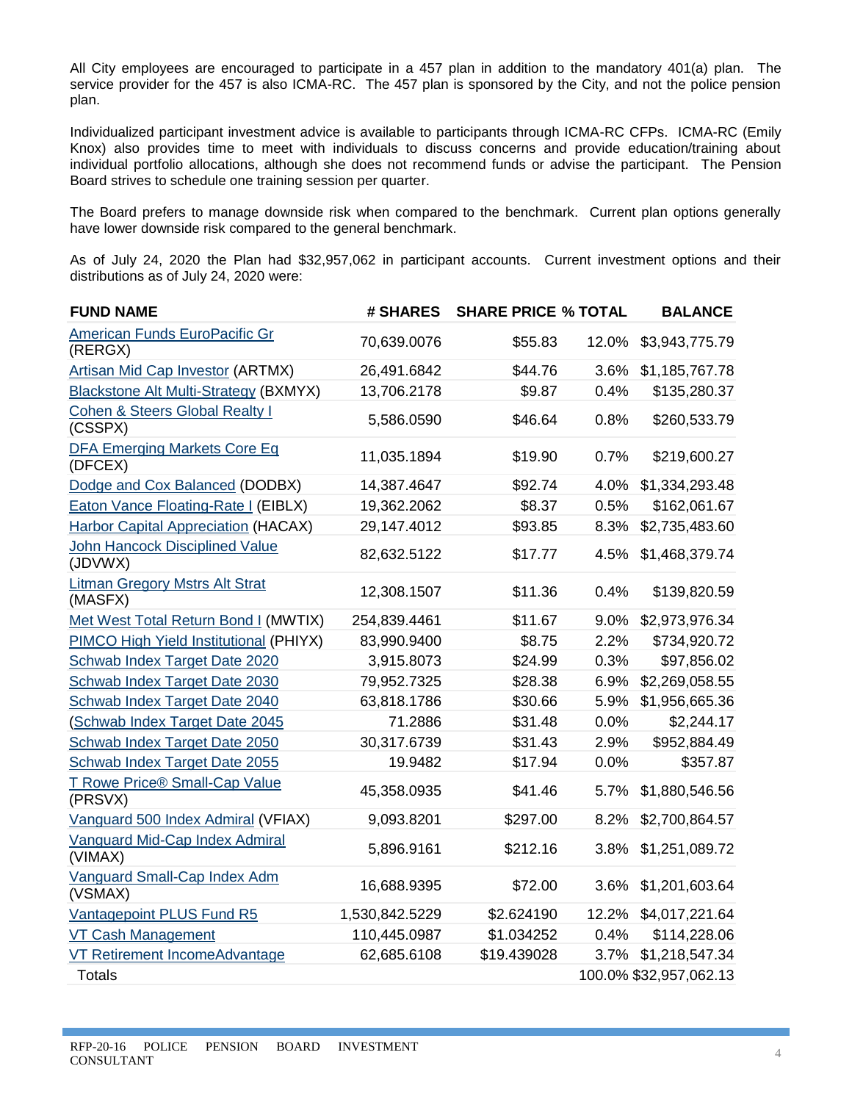All City employees are encouraged to participate in a 457 plan in addition to the mandatory 401(a) plan. The service provider for the 457 is also ICMA-RC. The 457 plan is sponsored by the City, and not the police pension plan.

Individualized participant investment advice is available to participants through ICMA-RC CFPs. ICMA-RC (Emily Knox) also provides time to meet with individuals to discuss concerns and provide education/training about individual portfolio allocations, although she does not recommend funds or advise the participant. The Pension Board strives to schedule one training session per quarter.

The Board prefers to manage downside risk when compared to the benchmark. Current plan options generally have lower downside risk compared to the general benchmark.

As of July 24, 2020 the Plan had \$32,957,062 in participant accounts. Current investment options and their distributions as of July 24, 2020 were:

| <b>FUND NAME</b>                                     | # SHARES       | <b>SHARE PRICE % TOTAL</b> |       | <b>BALANCE</b>         |
|------------------------------------------------------|----------------|----------------------------|-------|------------------------|
| <b>American Funds EuroPacific Gr</b><br>(RERGX)      | 70,639.0076    | \$55.83                    | 12.0% | \$3,943,775.79         |
| <b>Artisan Mid Cap Investor (ARTMX)</b>              | 26,491.6842    | \$44.76                    | 3.6%  | \$1,185,767.78         |
| <b>Blackstone Alt Multi-Strategy (BXMYX)</b>         | 13,706.2178    | \$9.87                     | 0.4%  | \$135,280.37           |
| <b>Cohen &amp; Steers Global Realty I</b><br>(CSSPX) | 5,586.0590     | \$46.64                    | 0.8%  | \$260,533.79           |
| <b>DFA Emerging Markets Core Eq</b><br>(DFCEX)       | 11,035.1894    | \$19.90                    | 0.7%  | \$219,600.27           |
| Dodge and Cox Balanced (DODBX)                       | 14,387.4647    | \$92.74                    | 4.0%  | \$1,334,293.48         |
| <b>Eaton Vance Floating-Rate I (EIBLX)</b>           | 19,362.2062    | \$8.37                     | 0.5%  | \$162,061.67           |
| <b>Harbor Capital Appreciation (HACAX)</b>           | 29,147.4012    | \$93.85                    | 8.3%  | \$2,735,483.60         |
| <b>John Hancock Disciplined Value</b><br>(JDVWX)     | 82,632.5122    | \$17.77                    | 4.5%  | \$1,468,379.74         |
| <b>Litman Gregory Mstrs Alt Strat</b><br>(MASFX)     | 12,308.1507    | \$11.36                    | 0.4%  | \$139,820.59           |
| Met West Total Return Bond I (MWTIX)                 | 254,839.4461   | \$11.67                    | 9.0%  | \$2,973,976.34         |
| PIMCO High Yield Institutional (PHIYX)               | 83,990.9400    | \$8.75                     | 2.2%  | \$734,920.72           |
| Schwab Index Target Date 2020                        | 3,915.8073     | \$24.99                    | 0.3%  | \$97,856.02            |
| Schwab Index Target Date 2030                        | 79,952.7325    | \$28.38                    | 6.9%  | \$2,269,058.55         |
| Schwab Index Target Date 2040                        | 63,818.1786    | \$30.66                    | 5.9%  | \$1,956,665.36         |
| (Schwab Index Target Date 2045                       | 71.2886        | \$31.48                    | 0.0%  | \$2,244.17             |
| Schwab Index Target Date 2050                        | 30,317.6739    | \$31.43                    | 2.9%  | \$952,884.49           |
| Schwab Index Target Date 2055                        | 19.9482        | \$17.94                    | 0.0%  | \$357.87               |
| T Rowe Price® Small-Cap Value<br>(PRSVX)             | 45,358.0935    | \$41.46                    | 5.7%  | \$1,880,546.56         |
| Vanguard 500 Index Admiral (VFIAX)                   | 9,093.8201     | \$297.00                   | 8.2%  | \$2,700,864.57         |
| Vanguard Mid-Cap Index Admiral<br>(VIMAX)            | 5,896.9161     | \$212.16                   | 3.8%  | \$1,251,089.72         |
| Vanguard Small-Cap Index Adm<br>(VSMAX)              | 16,688.9395    | \$72.00                    | 3.6%  | \$1,201,603.64         |
| Vantagepoint PLUS Fund R5                            | 1,530,842.5229 | \$2.624190                 | 12.2% | \$4,017,221.64         |
| <b>VT Cash Management</b>                            | 110,445.0987   | \$1.034252                 | 0.4%  | \$114,228.06           |
| <b>VT Retirement IncomeAdvantage</b>                 | 62,685.6108    | \$19.439028                | 3.7%  | \$1,218,547.34         |
| <b>Totals</b>                                        |                |                            |       | 100.0% \$32,957,062.13 |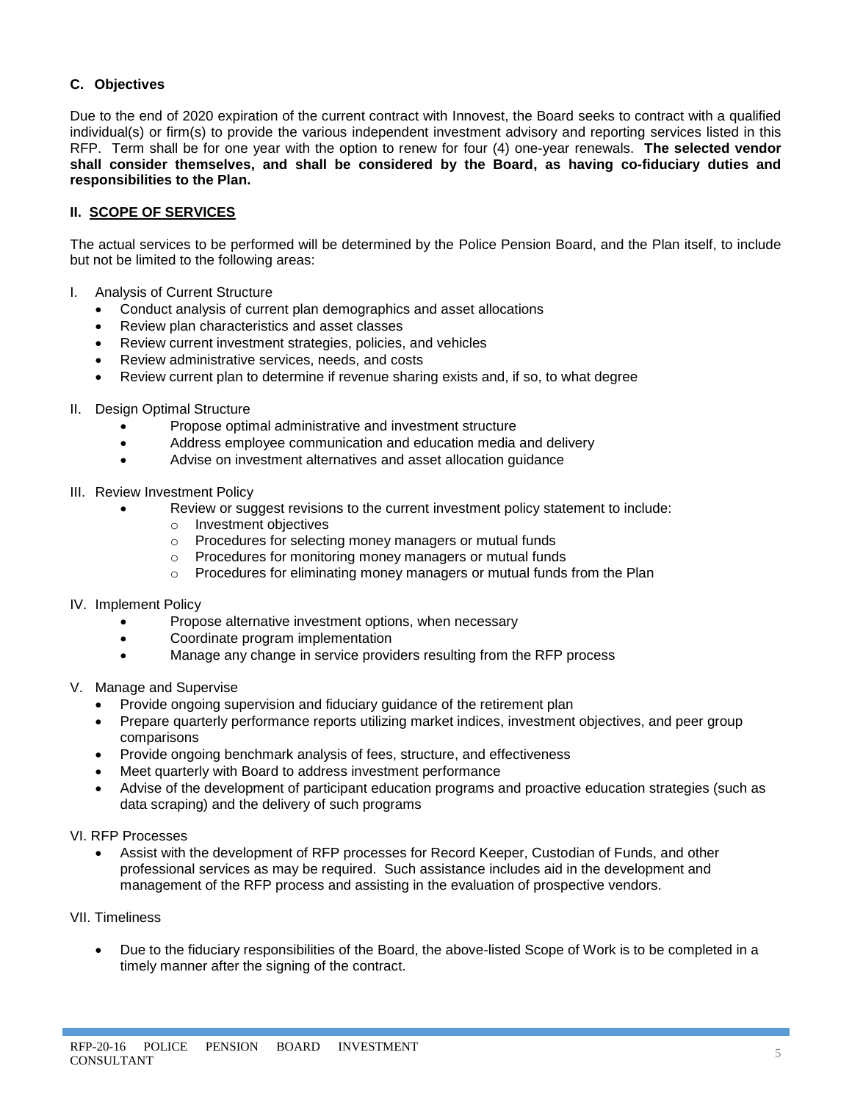# **C. Objectives**

Due to the end of 2020 expiration of the current contract with Innovest, the Board seeks to contract with a qualified individual(s) or firm(s) to provide the various independent investment advisory and reporting services listed in this RFP. Term shall be for one year with the option to renew for four (4) one-year renewals. **The selected vendor shall consider themselves, and shall be considered by the Board, as having co-fiduciary duties and responsibilities to the Plan.**

# **II. SCOPE OF SERVICES**

The actual services to be performed will be determined by the Police Pension Board, and the Plan itself, to include but not be limited to the following areas:

- I. Analysis of Current Structure
	- Conduct analysis of current plan demographics and asset allocations
	- Review plan characteristics and asset classes
	- Review current investment strategies, policies, and vehicles
	- Review administrative services, needs, and costs
	- Review current plan to determine if revenue sharing exists and, if so, to what degree
- II. Design Optimal Structure
	- Propose optimal administrative and investment structure
	- Address employee communication and education media and delivery
	- Advise on investment alternatives and asset allocation guidance
- III. Review Investment Policy
	- Review or suggest revisions to the current investment policy statement to include:
		- o Investment objectives
		- o Procedures for selecting money managers or mutual funds
		- o Procedures for monitoring money managers or mutual funds
		- $\circ$  Procedures for eliminating money managers or mutual funds from the Plan
- IV. Implement Policy
	- Propose alternative investment options, when necessary
	- Coordinate program implementation
	- Manage any change in service providers resulting from the RFP process
- V. Manage and Supervise
	- Provide ongoing supervision and fiduciary guidance of the retirement plan
	- Prepare quarterly performance reports utilizing market indices, investment objectives, and peer group comparisons
	- Provide ongoing benchmark analysis of fees, structure, and effectiveness
	- Meet quarterly with Board to address investment performance
	- Advise of the development of participant education programs and proactive education strategies (such as data scraping) and the delivery of such programs
- VI. RFP Processes
	- Assist with the development of RFP processes for Record Keeper, Custodian of Funds, and other professional services as may be required. Such assistance includes aid in the development and management of the RFP process and assisting in the evaluation of prospective vendors.
- VII. Timeliness
	- Due to the fiduciary responsibilities of the Board, the above-listed Scope of Work is to be completed in a timely manner after the signing of the contract.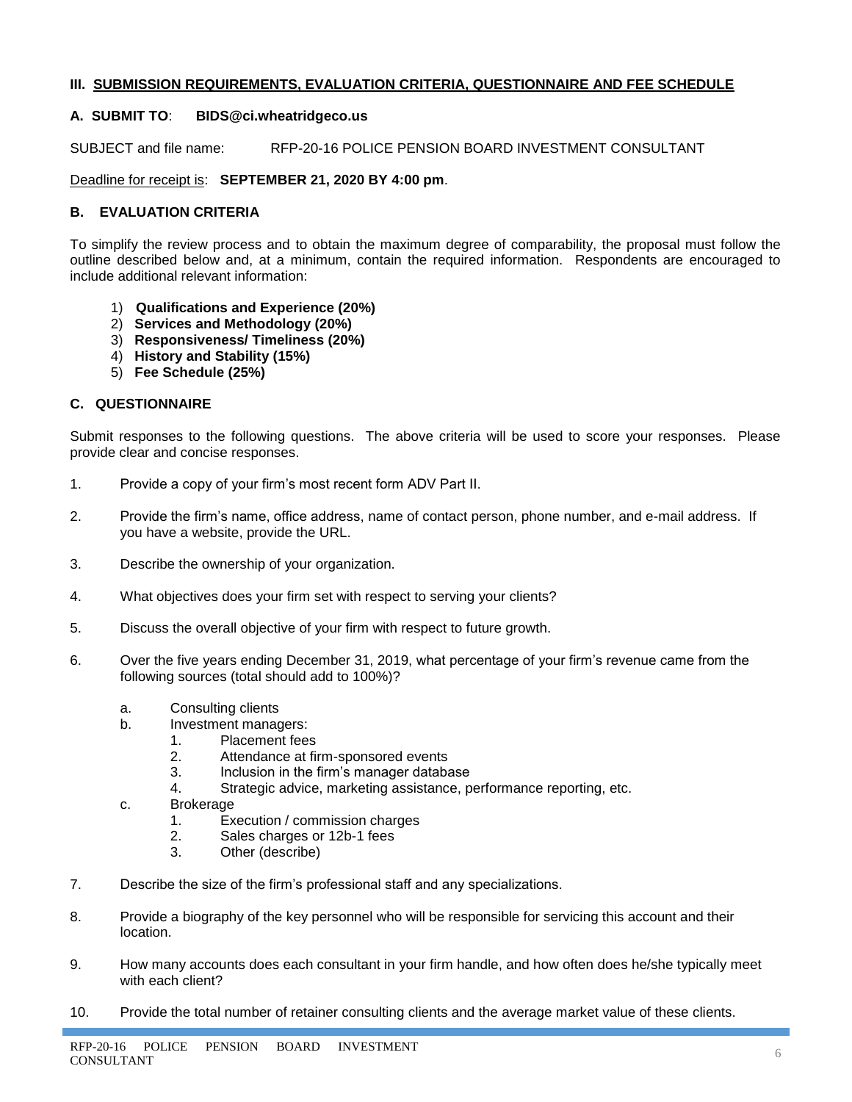# **III. SUBMISSION REQUIREMENTS, EVALUATION CRITERIA, QUESTIONNAIRE AND FEE SCHEDULE**

# **A. SUBMIT TO**: **BIDS@ci.wheatridgeco.us**

SUBJECT and file name: RFP-20-16 POLICE PENSION BOARD INVESTMENT CONSULTANT

Deadline for receipt is: **SEPTEMBER 21, 2020 BY 4:00 pm**.

# **B. EVALUATION CRITERIA**

To simplify the review process and to obtain the maximum degree of comparability, the proposal must follow the outline described below and, at a minimum, contain the required information. Respondents are encouraged to include additional relevant information:

- 1) **Qualifications and Experience (20%)**
- 2) **Services and Methodology (20%)**
- 3) **Responsiveness/ Timeliness (20%)**
- 4) **History and Stability (15%)**
- 5) **Fee Schedule (25%)**

### **C. QUESTIONNAIRE**

Submit responses to the following questions. The above criteria will be used to score your responses. Please provide clear and concise responses.

- 1. Provide a copy of your firm's most recent form ADV Part II.
- 2. Provide the firm's name, office address, name of contact person, phone number, and e-mail address. If you have a website, provide the URL.
- 3. Describe the ownership of your organization.
- 4. What objectives does your firm set with respect to serving your clients?
- 5. Discuss the overall objective of your firm with respect to future growth.
- 6. Over the five years ending December 31, 2019, what percentage of your firm's revenue came from the following sources (total should add to 100%)?
	- a. Consulting clients
	- b. Investment managers:
		- 1. Placement fees
		- 2. Attendance at firm-sponsored events
		- 3. Inclusion in the firm's manager database
		- 4. Strategic advice, marketing assistance, performance reporting, etc.
	- c. Brokerage
		- 1. Execution / commission charges
		- 2. Sales charges or 12b-1 fees
		- 3. Other (describe)
- 7. Describe the size of the firm's professional staff and any specializations.
- 8. Provide a biography of the key personnel who will be responsible for servicing this account and their location.
- 9. How many accounts does each consultant in your firm handle, and how often does he/she typically meet with each client?
- 10. Provide the total number of retainer consulting clients and the average market value of these clients.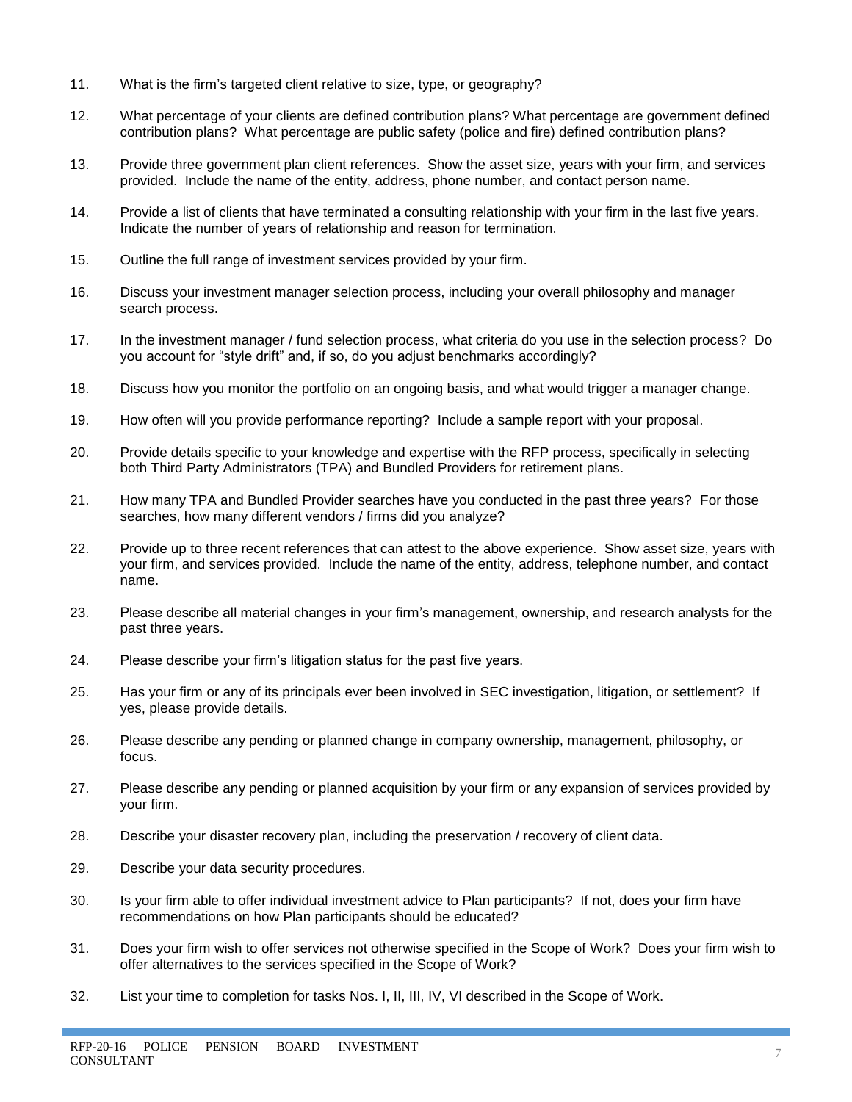- 11. What is the firm's targeted client relative to size, type, or geography?
- 12. What percentage of your clients are defined contribution plans? What percentage are government defined contribution plans? What percentage are public safety (police and fire) defined contribution plans?
- 13. Provide three government plan client references. Show the asset size, years with your firm, and services provided. Include the name of the entity, address, phone number, and contact person name.
- 14. Provide a list of clients that have terminated a consulting relationship with your firm in the last five years. Indicate the number of years of relationship and reason for termination.
- 15. Outline the full range of investment services provided by your firm.
- 16. Discuss your investment manager selection process, including your overall philosophy and manager search process.
- 17. In the investment manager / fund selection process, what criteria do you use in the selection process? Do you account for "style drift" and, if so, do you adjust benchmarks accordingly?
- 18. Discuss how you monitor the portfolio on an ongoing basis, and what would trigger a manager change.
- 19. How often will you provide performance reporting? Include a sample report with your proposal.
- 20. Provide details specific to your knowledge and expertise with the RFP process, specifically in selecting both Third Party Administrators (TPA) and Bundled Providers for retirement plans.
- 21. How many TPA and Bundled Provider searches have you conducted in the past three years? For those searches, how many different vendors / firms did you analyze?
- 22. Provide up to three recent references that can attest to the above experience. Show asset size, years with your firm, and services provided. Include the name of the entity, address, telephone number, and contact name.
- 23. Please describe all material changes in your firm's management, ownership, and research analysts for the past three years.
- 24. Please describe your firm's litigation status for the past five years.
- 25. Has your firm or any of its principals ever been involved in SEC investigation, litigation, or settlement? If yes, please provide details.
- 26. Please describe any pending or planned change in company ownership, management, philosophy, or focus.
- 27. Please describe any pending or planned acquisition by your firm or any expansion of services provided by your firm.
- 28. Describe your disaster recovery plan, including the preservation / recovery of client data.
- 29. Describe your data security procedures.
- 30. Is your firm able to offer individual investment advice to Plan participants? If not, does your firm have recommendations on how Plan participants should be educated?
- 31. Does your firm wish to offer services not otherwise specified in the Scope of Work? Does your firm wish to offer alternatives to the services specified in the Scope of Work?
- 32. List your time to completion for tasks Nos. I, II, III, IV, VI described in the Scope of Work.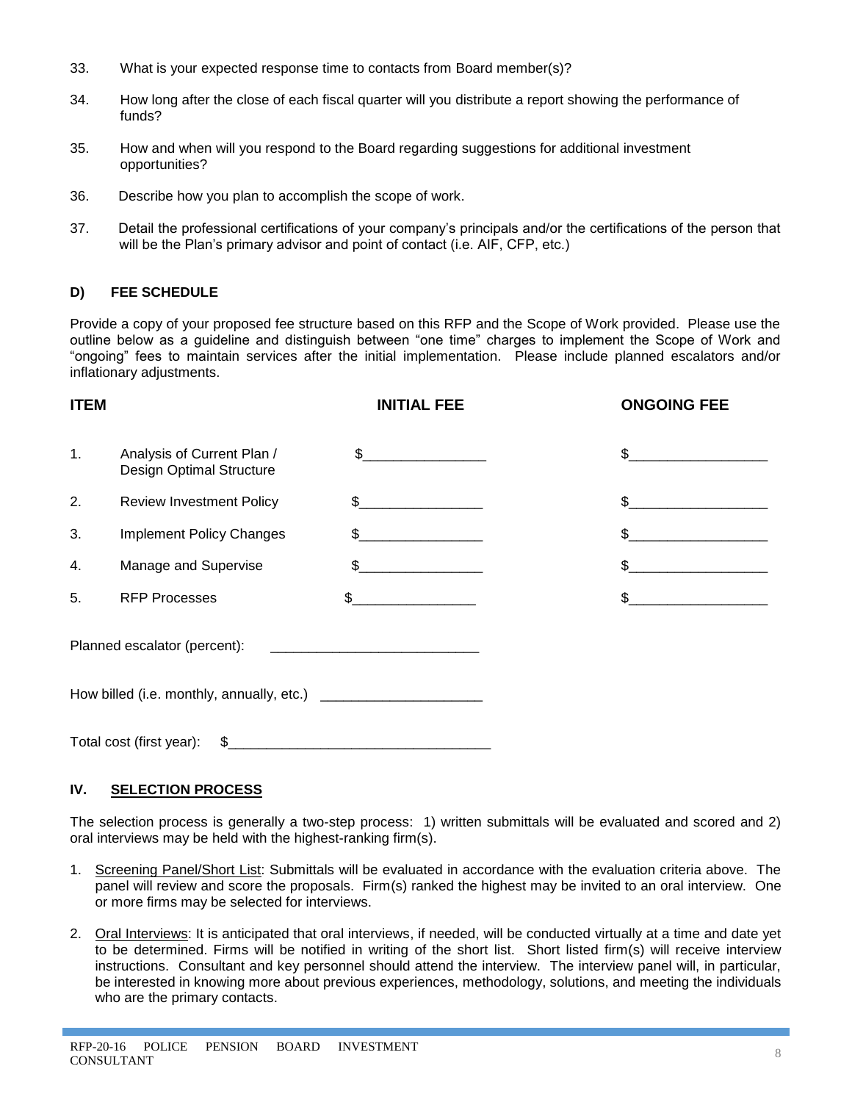- 33. What is your expected response time to contacts from Board member(s)?
- 34. How long after the close of each fiscal quarter will you distribute a report showing the performance of funds?
- 35. How and when will you respond to the Board regarding suggestions for additional investment opportunities?
- 36. Describe how you plan to accomplish the scope of work.
- 37. Detail the professional certifications of your company's principals and/or the certifications of the person that will be the Plan's primary advisor and point of contact (i.e. AIF, CFP, etc.)

# **D) FEE SCHEDULE**

Provide a copy of your proposed fee structure based on this RFP and the Scope of Work provided. Please use the outline below as a guideline and distinguish between "one time" charges to implement the Scope of Work and "ongoing" fees to maintain services after the initial implementation. Please include planned escalators and/or inflationary adjustments.

| <b>ITEM</b> |                                                        | <b>INITIAL FEE</b>                                                                                                                                                                                                                                                                                                                                                                                                              | <b>ONGOING FEE</b>                                    |
|-------------|--------------------------------------------------------|---------------------------------------------------------------------------------------------------------------------------------------------------------------------------------------------------------------------------------------------------------------------------------------------------------------------------------------------------------------------------------------------------------------------------------|-------------------------------------------------------|
| 1.          | Analysis of Current Plan /<br>Design Optimal Structure | $\frac{1}{2}$                                                                                                                                                                                                                                                                                                                                                                                                                   |                                                       |
| 2.          | <b>Review Investment Policy</b>                        | \$                                                                                                                                                                                                                                                                                                                                                                                                                              | $\textcircled{S}$ . The contract of $\textcircled{S}$ |
| 3.          | <b>Implement Policy Changes</b>                        | $\frac{1}{\sqrt{1-\frac{1}{2}}}\frac{1}{\sqrt{1-\frac{1}{2}}}\frac{1}{\sqrt{1-\frac{1}{2}}}\frac{1}{\sqrt{1-\frac{1}{2}}}\frac{1}{\sqrt{1-\frac{1}{2}}}\frac{1}{\sqrt{1-\frac{1}{2}}}\frac{1}{\sqrt{1-\frac{1}{2}}}\frac{1}{\sqrt{1-\frac{1}{2}}}\frac{1}{\sqrt{1-\frac{1}{2}}}\frac{1}{\sqrt{1-\frac{1}{2}}}\frac{1}{\sqrt{1-\frac{1}{2}}}\frac{1}{\sqrt{1-\frac{1}{2}}}\frac{1}{\sqrt{1-\frac{1}{2}}}\frac{1}{\sqrt{1-\frac{$ | $\mathbb S$                                           |
| 4.          | Manage and Supervise                                   | $\frac{1}{2}$                                                                                                                                                                                                                                                                                                                                                                                                                   | $\textcircled{S}$ and $\textcircled{S}$               |
| 5.          | <b>RFP Processes</b>                                   | $\sim$                                                                                                                                                                                                                                                                                                                                                                                                                          | \$                                                    |
|             | Planned escalator (percent):                           |                                                                                                                                                                                                                                                                                                                                                                                                                                 |                                                       |
|             |                                                        |                                                                                                                                                                                                                                                                                                                                                                                                                                 |                                                       |
|             | Total cost (first year):<br>\$                         |                                                                                                                                                                                                                                                                                                                                                                                                                                 |                                                       |

# **IV. SELECTION PROCESS**

The selection process is generally a two-step process: 1) written submittals will be evaluated and scored and 2) oral interviews may be held with the highest-ranking firm(s).

- 1. Screening Panel/Short List: Submittals will be evaluated in accordance with the evaluation criteria above. The panel will review and score the proposals. Firm(s) ranked the highest may be invited to an oral interview. One or more firms may be selected for interviews.
- 2. Oral Interviews: It is anticipated that oral interviews, if needed, will be conducted virtually at a time and date yet to be determined. Firms will be notified in writing of the short list. Short listed firm(s) will receive interview instructions. Consultant and key personnel should attend the interview. The interview panel will, in particular, be interested in knowing more about previous experiences, methodology, solutions, and meeting the individuals who are the primary contacts.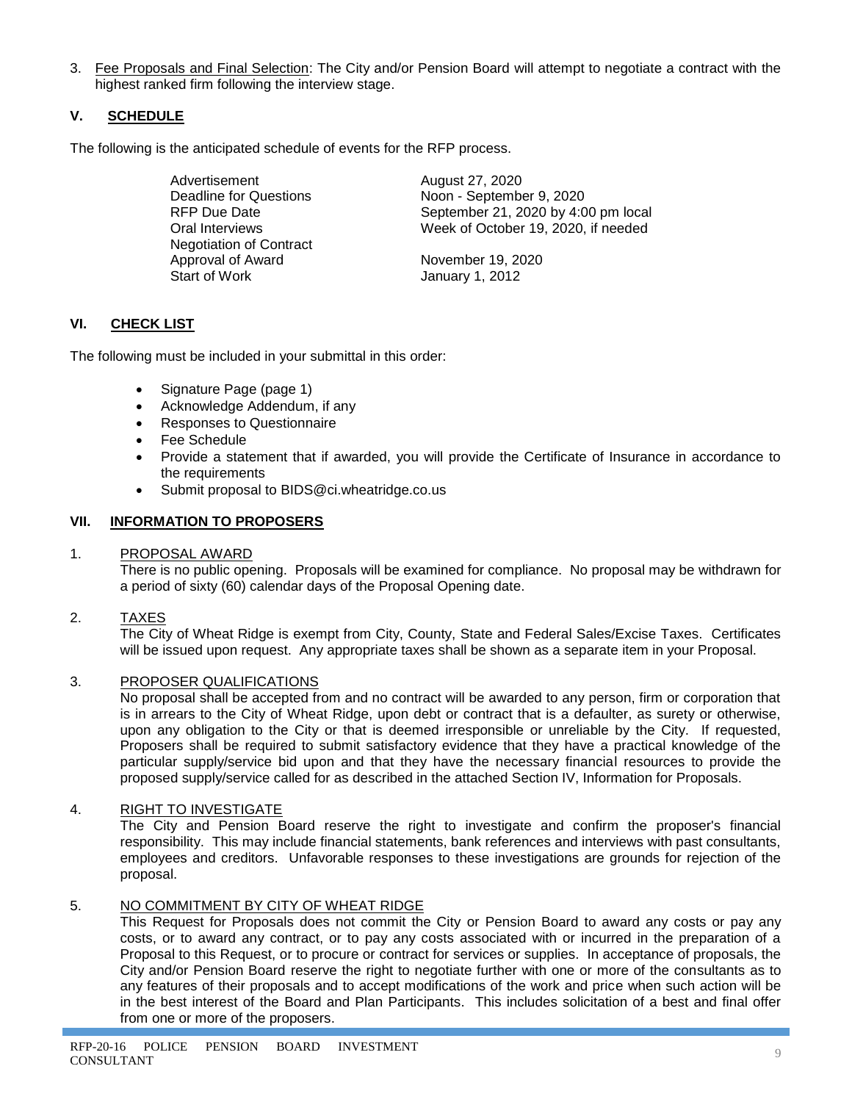3. Fee Proposals and Final Selection: The City and/or Pension Board will attempt to negotiate a contract with the highest ranked firm following the interview stage.

# **V. SCHEDULE**

The following is the anticipated schedule of events for the RFP process.

Advertisement August 27, 2020 Negotiation of Contract Approval of Award November 19, 2020 Start of Work **January 1, 2012** 

Deadline for Questions Noon - September 9, 2020 RFP Due Date September 21, 2020 by 4:00 pm local Oral Interviews Week of October 19, 2020, if needed

# **VI. CHECK LIST**

The following must be included in your submittal in this order:

- Signature Page (page 1)
- Acknowledge Addendum, if any
- Responses to Questionnaire
- Fee Schedule
- Provide a statement that if awarded, you will provide the Certificate of Insurance in accordance to the requirements
- Submit proposal to BIDS@ci.wheatridge.co.us

### **VII. INFORMATION TO PROPOSERS**

### 1. PROPOSAL AWARD

There is no public opening. Proposals will be examined for compliance. No proposal may be withdrawn for a period of sixty (60) calendar days of the Proposal Opening date.

2. TAXES

The City of Wheat Ridge is exempt from City, County, State and Federal Sales/Excise Taxes. Certificates will be issued upon request. Any appropriate taxes shall be shown as a separate item in your Proposal.

# 3. PROPOSER QUALIFICATIONS

No proposal shall be accepted from and no contract will be awarded to any person, firm or corporation that is in arrears to the City of Wheat Ridge, upon debt or contract that is a defaulter, as surety or otherwise, upon any obligation to the City or that is deemed irresponsible or unreliable by the City. If requested, Proposers shall be required to submit satisfactory evidence that they have a practical knowledge of the particular supply/service bid upon and that they have the necessary financial resources to provide the proposed supply/service called for as described in the attached Section IV, Information for Proposals.

### 4. RIGHT TO INVESTIGATE

The City and Pension Board reserve the right to investigate and confirm the proposer's financial responsibility. This may include financial statements, bank references and interviews with past consultants, employees and creditors. Unfavorable responses to these investigations are grounds for rejection of the proposal.

# 5. NO COMMITMENT BY CITY OF WHEAT RIDGE

This Request for Proposals does not commit the City or Pension Board to award any costs or pay any costs, or to award any contract, or to pay any costs associated with or incurred in the preparation of a Proposal to this Request, or to procure or contract for services or supplies. In acceptance of proposals, the City and/or Pension Board reserve the right to negotiate further with one or more of the consultants as to any features of their proposals and to accept modifications of the work and price when such action will be in the best interest of the Board and Plan Participants. This includes solicitation of a best and final offer from one or more of the proposers.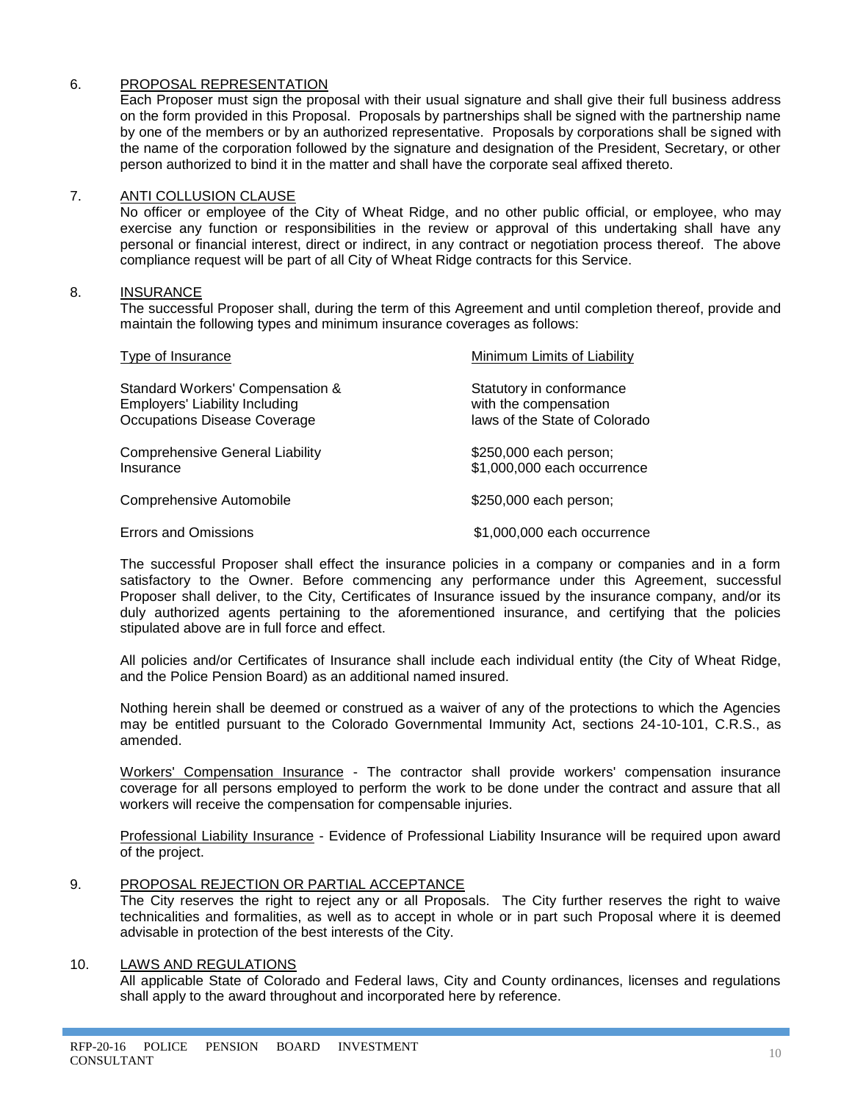# 6. PROPOSAL REPRESENTATION

Each Proposer must sign the proposal with their usual signature and shall give their full business address on the form provided in this Proposal. Proposals by partnerships shall be signed with the partnership name by one of the members or by an authorized representative. Proposals by corporations shall be signed with the name of the corporation followed by the signature and designation of the President, Secretary, or other person authorized to bind it in the matter and shall have the corporate seal affixed thereto.

#### 7. ANTI COLLUSION CLAUSE

No officer or employee of the City of Wheat Ridge, and no other public official, or employee, who may exercise any function or responsibilities in the review or approval of this undertaking shall have any personal or financial interest, direct or indirect, in any contract or negotiation process thereof. The above compliance request will be part of all City of Wheat Ridge contracts for this Service.

#### 8. INSURANCE

The successful Proposer shall, during the term of this Agreement and until completion thereof, provide and maintain the following types and minimum insurance coverages as follows:

| Type of Insurance                                                                                         | Minimum Limits of Liability                                                        |
|-----------------------------------------------------------------------------------------------------------|------------------------------------------------------------------------------------|
| Standard Workers' Compensation &<br><b>Employers' Liability Including</b><br>Occupations Disease Coverage | Statutory in conformance<br>with the compensation<br>laws of the State of Colorado |
| <b>Comprehensive General Liability</b><br>Insurance                                                       | \$250,000 each person;<br>\$1,000,000 each occurrence                              |
| Comprehensive Automobile                                                                                  | \$250,000 each person;                                                             |
| <b>Errors and Omissions</b>                                                                               | \$1,000,000 each occurrence                                                        |

The successful Proposer shall effect the insurance policies in a company or companies and in a form satisfactory to the Owner. Before commencing any performance under this Agreement, successful Proposer shall deliver, to the City, Certificates of Insurance issued by the insurance company, and/or its duly authorized agents pertaining to the aforementioned insurance, and certifying that the policies stipulated above are in full force and effect.

All policies and/or Certificates of Insurance shall include each individual entity (the City of Wheat Ridge, and the Police Pension Board) as an additional named insured.

Nothing herein shall be deemed or construed as a waiver of any of the protections to which the Agencies may be entitled pursuant to the Colorado Governmental Immunity Act, sections 24-10-101, C.R.S., as amended.

Workers' Compensation Insurance - The contractor shall provide workers' compensation insurance coverage for all persons employed to perform the work to be done under the contract and assure that all workers will receive the compensation for compensable injuries.

Professional Liability Insurance - Evidence of Professional Liability Insurance will be required upon award of the project.

### 9. PROPOSAL REJECTION OR PARTIAL ACCEPTANCE

The City reserves the right to reject any or all Proposals. The City further reserves the right to waive technicalities and formalities, as well as to accept in whole or in part such Proposal where it is deemed advisable in protection of the best interests of the City.

### 10. LAWS AND REGULATIONS

All applicable State of Colorado and Federal laws, City and County ordinances, licenses and regulations shall apply to the award throughout and incorporated here by reference.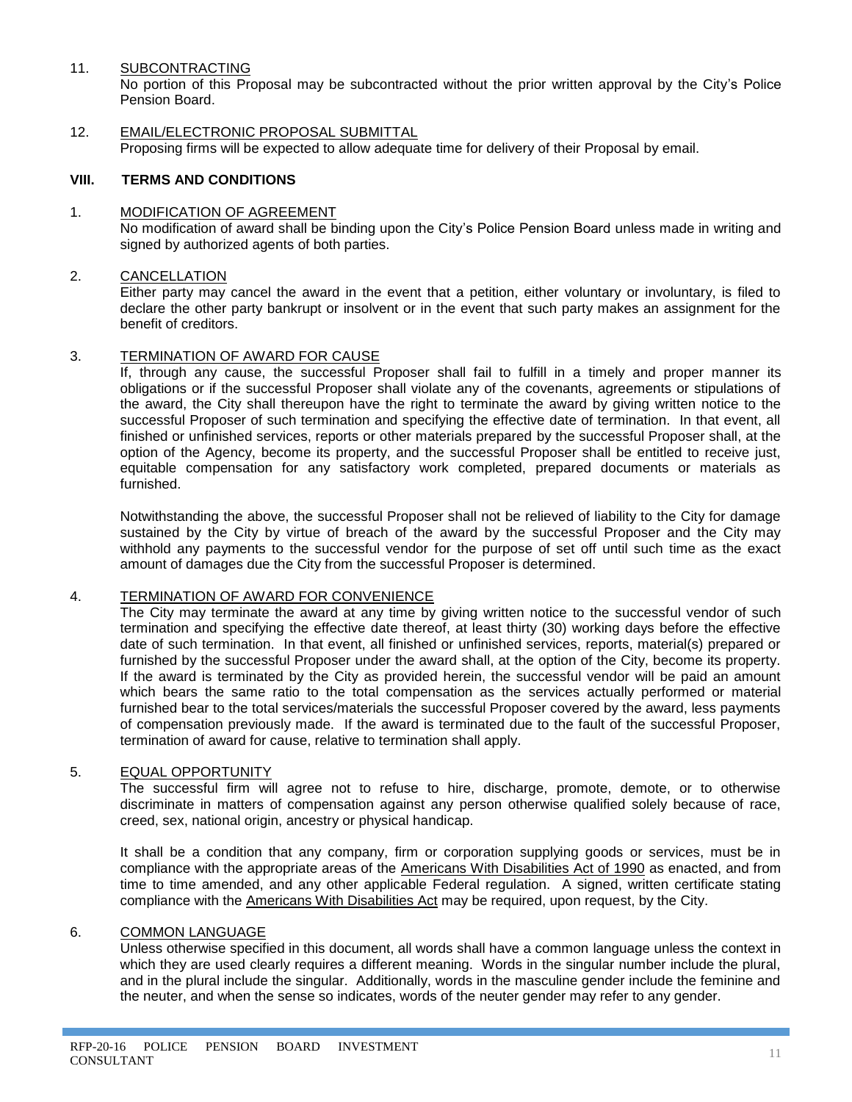### 11. SUBCONTRACTING

No portion of this Proposal may be subcontracted without the prior written approval by the City's Police Pension Board.

12. EMAIL/ELECTRONIC PROPOSAL SUBMITTAL Proposing firms will be expected to allow adequate time for delivery of their Proposal by email.

### **VIII. TERMS AND CONDITIONS**

### 1. MODIFICATION OF AGREEMENT

No modification of award shall be binding upon the City's Police Pension Board unless made in writing and signed by authorized agents of both parties.

### 2. CANCELLATION

Either party may cancel the award in the event that a petition, either voluntary or involuntary, is filed to declare the other party bankrupt or insolvent or in the event that such party makes an assignment for the benefit of creditors.

### 3. TERMINATION OF AWARD FOR CAUSE

If, through any cause, the successful Proposer shall fail to fulfill in a timely and proper manner its obligations or if the successful Proposer shall violate any of the covenants, agreements or stipulations of the award, the City shall thereupon have the right to terminate the award by giving written notice to the successful Proposer of such termination and specifying the effective date of termination. In that event, all finished or unfinished services, reports or other materials prepared by the successful Proposer shall, at the option of the Agency, become its property, and the successful Proposer shall be entitled to receive just, equitable compensation for any satisfactory work completed, prepared documents or materials as furnished.

Notwithstanding the above, the successful Proposer shall not be relieved of liability to the City for damage sustained by the City by virtue of breach of the award by the successful Proposer and the City may withhold any payments to the successful vendor for the purpose of set off until such time as the exact amount of damages due the City from the successful Proposer is determined.

# 4. TERMINATION OF AWARD FOR CONVENIENCE

The City may terminate the award at any time by giving written notice to the successful vendor of such termination and specifying the effective date thereof, at least thirty (30) working days before the effective date of such termination. In that event, all finished or unfinished services, reports, material(s) prepared or furnished by the successful Proposer under the award shall, at the option of the City, become its property. If the award is terminated by the City as provided herein, the successful vendor will be paid an amount which bears the same ratio to the total compensation as the services actually performed or material furnished bear to the total services/materials the successful Proposer covered by the award, less payments of compensation previously made. If the award is terminated due to the fault of the successful Proposer, termination of award for cause, relative to termination shall apply.

### 5. EQUAL OPPORTUNITY

The successful firm will agree not to refuse to hire, discharge, promote, demote, or to otherwise discriminate in matters of compensation against any person otherwise qualified solely because of race, creed, sex, national origin, ancestry or physical handicap.

It shall be a condition that any company, firm or corporation supplying goods or services, must be in compliance with the appropriate areas of the Americans With Disabilities Act of 1990 as enacted, and from time to time amended, and any other applicable Federal regulation. A signed, written certificate stating compliance with the Americans With Disabilities Act may be required, upon request, by the City.

### 6. COMMON LANGUAGE

Unless otherwise specified in this document, all words shall have a common language unless the context in which they are used clearly requires a different meaning. Words in the singular number include the plural, and in the plural include the singular. Additionally, words in the masculine gender include the feminine and the neuter, and when the sense so indicates, words of the neuter gender may refer to any gender.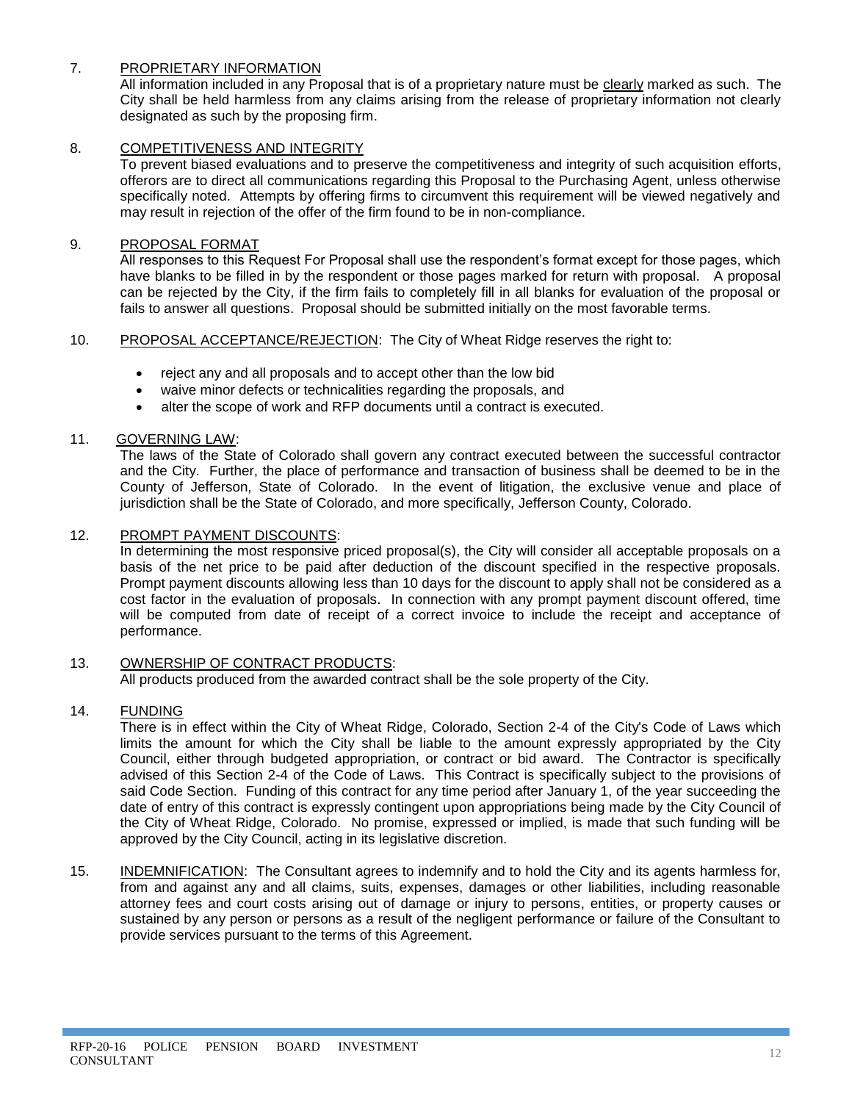# 7. PROPRIETARY INFORMATION

All information included in any Proposal that is of a proprietary nature must be clearly marked as such. The City shall be held harmless from any claims arising from the release of proprietary information not clearly designated as such by the proposing firm.

# 8. COMPETITIVENESS AND INTEGRITY

To prevent biased evaluations and to preserve the competitiveness and integrity of such acquisition efforts, offerors are to direct all communications regarding this Proposal to the Purchasing Agent, unless otherwise specifically noted. Attempts by offering firms to circumvent this requirement will be viewed negatively and may result in rejection of the offer of the firm found to be in non-compliance.

# 9. PROPOSAL FORMAT

All responses to this Request For Proposal shall use the respondent's format except for those pages, which have blanks to be filled in by the respondent or those pages marked for return with proposal. A proposal can be rejected by the City, if the firm fails to completely fill in all blanks for evaluation of the proposal or fails to answer all questions. Proposal should be submitted initially on the most favorable terms.

# 10. PROPOSAL ACCEPTANCE/REJECTION: The City of Wheat Ridge reserves the right to:

- reject any and all proposals and to accept other than the low bid
- waive minor defects or technicalities regarding the proposals, and
- alter the scope of work and RFP documents until a contract is executed.

# 11. GOVERNING LAW:

The laws of the State of Colorado shall govern any contract executed between the successful contractor and the City. Further, the place of performance and transaction of business shall be deemed to be in the County of Jefferson, State of Colorado. In the event of litigation, the exclusive venue and place of jurisdiction shall be the State of Colorado, and more specifically, Jefferson County, Colorado.

# 12. PROMPT PAYMENT DISCOUNTS:

In determining the most responsive priced proposal(s), the City will consider all acceptable proposals on a basis of the net price to be paid after deduction of the discount specified in the respective proposals. Prompt payment discounts allowing less than 10 days for the discount to apply shall not be considered as a cost factor in the evaluation of proposals. In connection with any prompt payment discount offered, time will be computed from date of receipt of a correct invoice to include the receipt and acceptance of performance.

#### 13. OWNERSHIP OF CONTRACT PRODUCTS: All products produced from the awarded contract shall be the sole property of the City.

# 14. FUNDING

There is in effect within the City of Wheat Ridge, Colorado, Section 2-4 of the City's Code of Laws which limits the amount for which the City shall be liable to the amount expressly appropriated by the City Council, either through budgeted appropriation, or contract or bid award. The Contractor is specifically advised of this Section 2-4 of the Code of Laws. This Contract is specifically subject to the provisions of said Code Section. Funding of this contract for any time period after January 1, of the year succeeding the date of entry of this contract is expressly contingent upon appropriations being made by the City Council of the City of Wheat Ridge, Colorado. No promise, expressed or implied, is made that such funding will be approved by the City Council, acting in its legislative discretion.

15. INDEMNIFICATION: The Consultant agrees to indemnify and to hold the City and its agents harmless for, from and against any and all claims, suits, expenses, damages or other liabilities, including reasonable attorney fees and court costs arising out of damage or injury to persons, entities, or property causes or sustained by any person or persons as a result of the negligent performance or failure of the Consultant to provide services pursuant to the terms of this Agreement.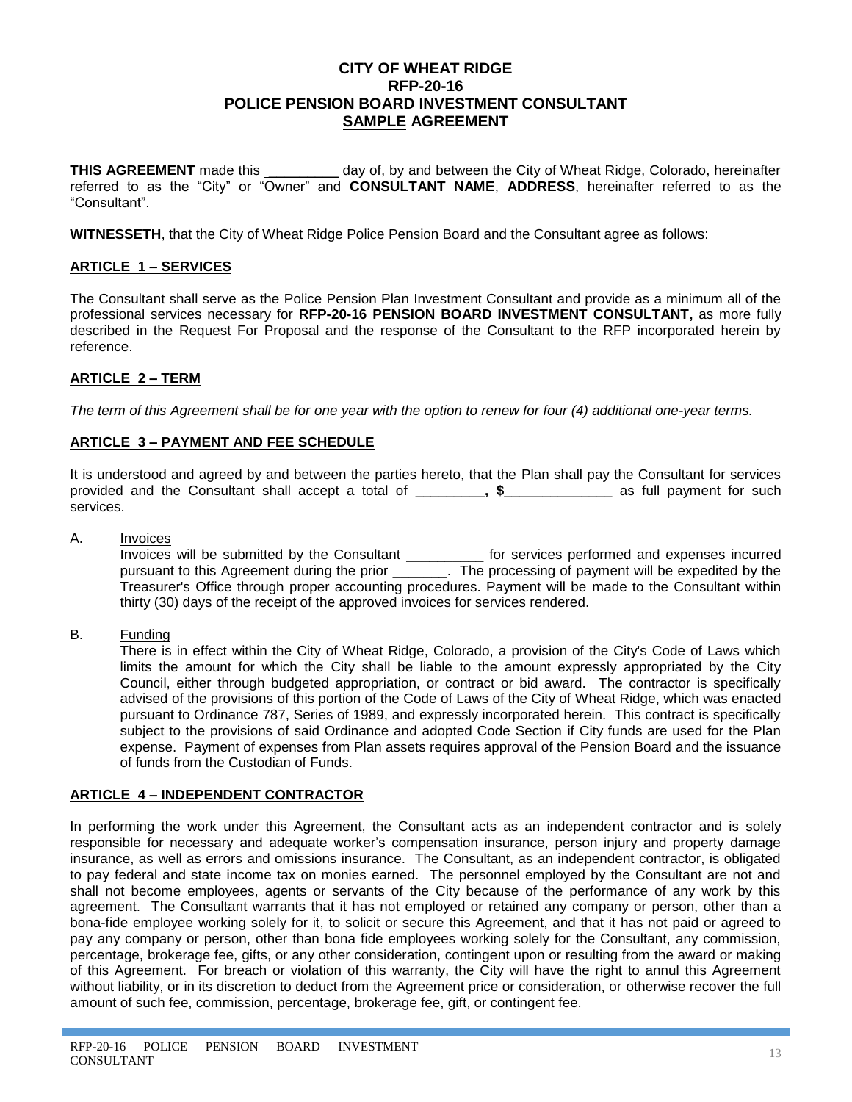# **CITY OF WHEAT RIDGE RFP-20-16 POLICE PENSION BOARD INVESTMENT CONSULTANT SAMPLE AGREEMENT**

**THIS AGREEMENT** made this day of, by and between the City of Wheat Ridge, Colorado, hereinafter referred to as the "City" or "Owner" and **CONSULTANT NAME**, **ADDRESS**, hereinafter referred to as the "Consultant".

**WITNESSETH**, that the City of Wheat Ridge Police Pension Board and the Consultant agree as follows:

# **ARTICLE 1 – SERVICES**

The Consultant shall serve as the Police Pension Plan Investment Consultant and provide as a minimum all of the professional services necessary for **RFP-20-16 PENSION BOARD INVESTMENT CONSULTANT,** as more fully described in the Request For Proposal and the response of the Consultant to the RFP incorporated herein by reference.

# **ARTICLE 2 – TERM**

*The term of this Agreement shall be for one year with the option to renew for four (4) additional one-year terms.*

# **ARTICLE 3 – PAYMENT AND FEE SCHEDULE**

It is understood and agreed by and between the parties hereto, that the Plan shall pay the Consultant for services provided and the Consultant shall accept a total of **\_\_\_\_\_\_\_\_\_, \$\_\_\_\_\_\_\_\_\_\_\_\_\_\_** as full payment for such services.

A. Invoices

Invoices will be submitted by the Consultant \_\_\_\_\_\_\_\_\_\_ for services performed and expenses incurred pursuant to this Agreement during the prior \_\_\_\_\_\_\_. The processing of payment will be expedited by the Treasurer's Office through proper accounting procedures. Payment will be made to the Consultant within thirty (30) days of the receipt of the approved invoices for services rendered.

B. Funding

There is in effect within the City of Wheat Ridge, Colorado, a provision of the City's Code of Laws which limits the amount for which the City shall be liable to the amount expressly appropriated by the City Council, either through budgeted appropriation, or contract or bid award. The contractor is specifically advised of the provisions of this portion of the Code of Laws of the City of Wheat Ridge, which was enacted pursuant to Ordinance 787, Series of 1989, and expressly incorporated herein. This contract is specifically subject to the provisions of said Ordinance and adopted Code Section if City funds are used for the Plan expense. Payment of expenses from Plan assets requires approval of the Pension Board and the issuance of funds from the Custodian of Funds.

# **ARTICLE 4 – INDEPENDENT CONTRACTOR**

In performing the work under this Agreement, the Consultant acts as an independent contractor and is solely responsible for necessary and adequate worker's compensation insurance, person injury and property damage insurance, as well as errors and omissions insurance. The Consultant, as an independent contractor, is obligated to pay federal and state income tax on monies earned. The personnel employed by the Consultant are not and shall not become employees, agents or servants of the City because of the performance of any work by this agreement. The Consultant warrants that it has not employed or retained any company or person, other than a bona-fide employee working solely for it, to solicit or secure this Agreement, and that it has not paid or agreed to pay any company or person, other than bona fide employees working solely for the Consultant, any commission, percentage, brokerage fee, gifts, or any other consideration, contingent upon or resulting from the award or making of this Agreement. For breach or violation of this warranty, the City will have the right to annul this Agreement without liability, or in its discretion to deduct from the Agreement price or consideration, or otherwise recover the full amount of such fee, commission, percentage, brokerage fee, gift, or contingent fee.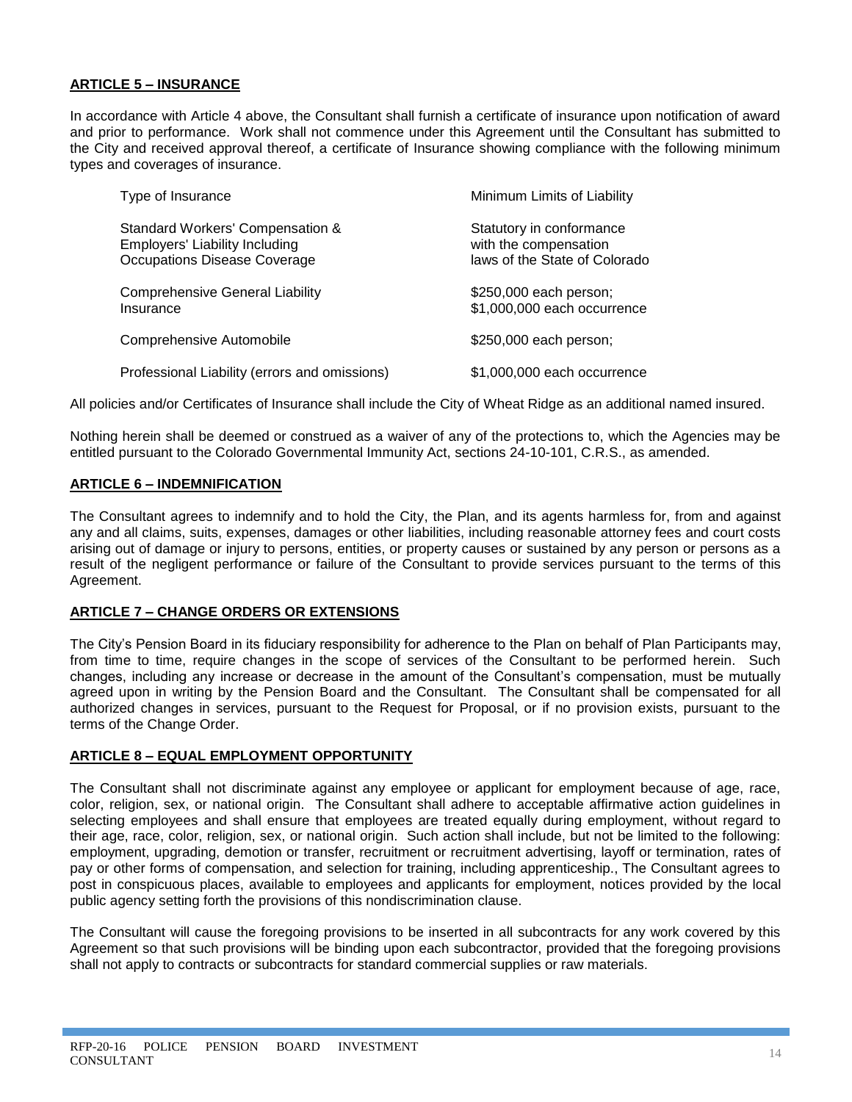# **ARTICLE 5 – INSURANCE**

In accordance with Article 4 above, the Consultant shall furnish a certificate of insurance upon notification of award and prior to performance. Work shall not commence under this Agreement until the Consultant has submitted to the City and received approval thereof, a certificate of Insurance showing compliance with the following minimum types and coverages of insurance.

| Type of Insurance                                                                                         | Minimum Limits of Liability                                                        |
|-----------------------------------------------------------------------------------------------------------|------------------------------------------------------------------------------------|
| Standard Workers' Compensation &<br><b>Employers' Liability Including</b><br>Occupations Disease Coverage | Statutory in conformance<br>with the compensation<br>laws of the State of Colorado |
| <b>Comprehensive General Liability</b><br>Insurance                                                       | \$250,000 each person;<br>\$1,000,000 each occurrence                              |
| Comprehensive Automobile                                                                                  | \$250,000 each person;                                                             |
| Professional Liability (errors and omissions)                                                             | \$1,000,000 each occurrence                                                        |

All policies and/or Certificates of Insurance shall include the City of Wheat Ridge as an additional named insured.

Nothing herein shall be deemed or construed as a waiver of any of the protections to, which the Agencies may be entitled pursuant to the Colorado Governmental Immunity Act, sections 24-10-101, C.R.S., as amended.

### **ARTICLE 6 – INDEMNIFICATION**

The Consultant agrees to indemnify and to hold the City, the Plan, and its agents harmless for, from and against any and all claims, suits, expenses, damages or other liabilities, including reasonable attorney fees and court costs arising out of damage or injury to persons, entities, or property causes or sustained by any person or persons as a result of the negligent performance or failure of the Consultant to provide services pursuant to the terms of this Agreement.

### **ARTICLE 7 – CHANGE ORDERS OR EXTENSIONS**

The City's Pension Board in its fiduciary responsibility for adherence to the Plan on behalf of Plan Participants may, from time to time, require changes in the scope of services of the Consultant to be performed herein. Such changes, including any increase or decrease in the amount of the Consultant's compensation, must be mutually agreed upon in writing by the Pension Board and the Consultant. The Consultant shall be compensated for all authorized changes in services, pursuant to the Request for Proposal, or if no provision exists, pursuant to the terms of the Change Order.

### **ARTICLE 8 – EQUAL EMPLOYMENT OPPORTUNITY**

The Consultant shall not discriminate against any employee or applicant for employment because of age, race, color, religion, sex, or national origin. The Consultant shall adhere to acceptable affirmative action guidelines in selecting employees and shall ensure that employees are treated equally during employment, without regard to their age, race, color, religion, sex, or national origin. Such action shall include, but not be limited to the following: employment, upgrading, demotion or transfer, recruitment or recruitment advertising, layoff or termination, rates of pay or other forms of compensation, and selection for training, including apprenticeship., The Consultant agrees to post in conspicuous places, available to employees and applicants for employment, notices provided by the local public agency setting forth the provisions of this nondiscrimination clause.

The Consultant will cause the foregoing provisions to be inserted in all subcontracts for any work covered by this Agreement so that such provisions will be binding upon each subcontractor, provided that the foregoing provisions shall not apply to contracts or subcontracts for standard commercial supplies or raw materials.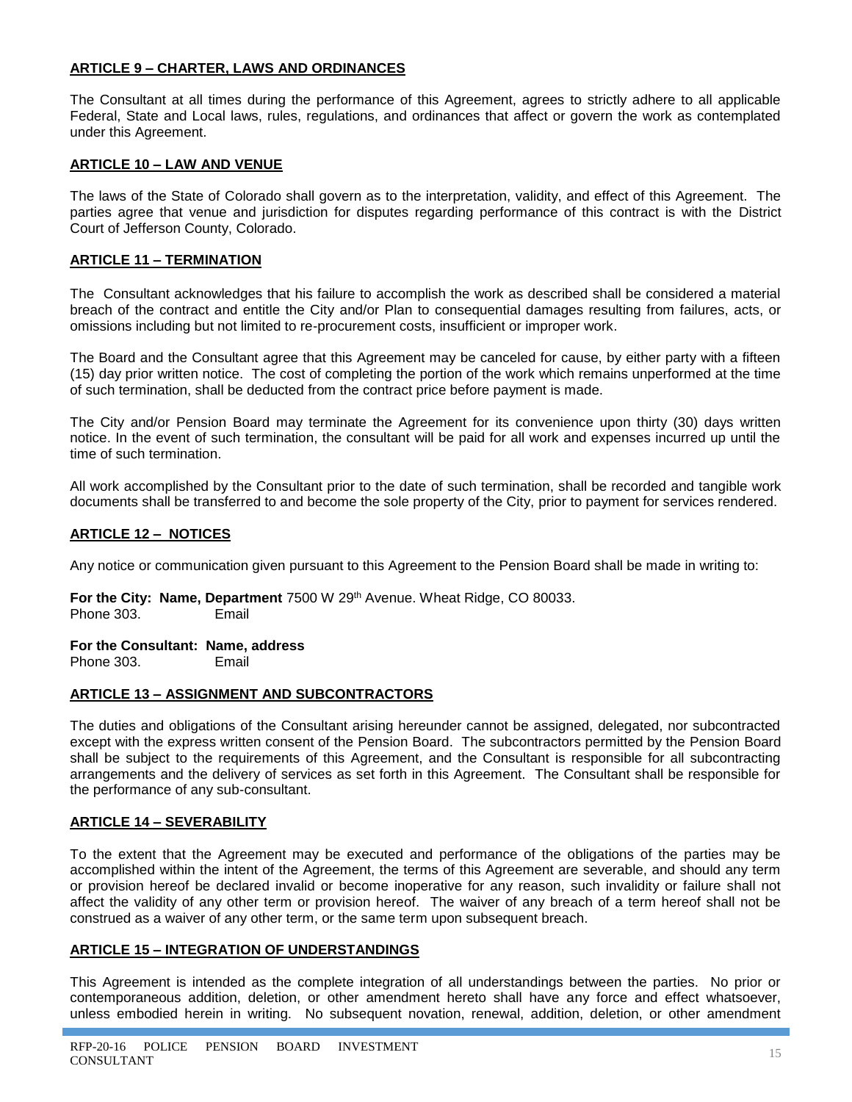# **ARTICLE 9 – CHARTER, LAWS AND ORDINANCES**

The Consultant at all times during the performance of this Agreement, agrees to strictly adhere to all applicable Federal, State and Local laws, rules, regulations, and ordinances that affect or govern the work as contemplated under this Agreement.

# **ARTICLE 10 – LAW AND VENUE**

The laws of the State of Colorado shall govern as to the interpretation, validity, and effect of this Agreement. The parties agree that venue and jurisdiction for disputes regarding performance of this contract is with the District Court of Jefferson County, Colorado.

# **ARTICLE 11 – TERMINATION**

The Consultant acknowledges that his failure to accomplish the work as described shall be considered a material breach of the contract and entitle the City and/or Plan to consequential damages resulting from failures, acts, or omissions including but not limited to re-procurement costs, insufficient or improper work.

The Board and the Consultant agree that this Agreement may be canceled for cause, by either party with a fifteen (15) day prior written notice. The cost of completing the portion of the work which remains unperformed at the time of such termination, shall be deducted from the contract price before payment is made.

The City and/or Pension Board may terminate the Agreement for its convenience upon thirty (30) days written notice. In the event of such termination, the consultant will be paid for all work and expenses incurred up until the time of such termination.

All work accomplished by the Consultant prior to the date of such termination, shall be recorded and tangible work documents shall be transferred to and become the sole property of the City, prior to payment for services rendered.

# **ARTICLE 12 – NOTICES**

Any notice or communication given pursuant to this Agreement to the Pension Board shall be made in writing to:

For the City: Name, Department 7500 W 29<sup>th</sup> Avenue. Wheat Ridge, CO 80033. Phone 303. Email

### **For the Consultant: Name, address**

Phone 303. Email

# **ARTICLE 13 – ASSIGNMENT AND SUBCONTRACTORS**

The duties and obligations of the Consultant arising hereunder cannot be assigned, delegated, nor subcontracted except with the express written consent of the Pension Board. The subcontractors permitted by the Pension Board shall be subject to the requirements of this Agreement, and the Consultant is responsible for all subcontracting arrangements and the delivery of services as set forth in this Agreement. The Consultant shall be responsible for the performance of any sub-consultant.

# **ARTICLE 14 – SEVERABILITY**

To the extent that the Agreement may be executed and performance of the obligations of the parties may be accomplished within the intent of the Agreement, the terms of this Agreement are severable, and should any term or provision hereof be declared invalid or become inoperative for any reason, such invalidity or failure shall not affect the validity of any other term or provision hereof. The waiver of any breach of a term hereof shall not be construed as a waiver of any other term, or the same term upon subsequent breach.

### **ARTICLE 15 – INTEGRATION OF UNDERSTANDINGS**

This Agreement is intended as the complete integration of all understandings between the parties. No prior or contemporaneous addition, deletion, or other amendment hereto shall have any force and effect whatsoever, unless embodied herein in writing. No subsequent novation, renewal, addition, deletion, or other amendment